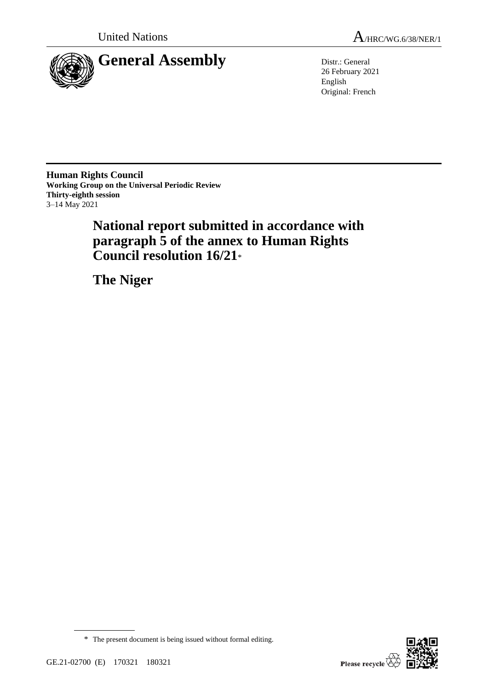

26 February 2021 English Original: French

**Human Rights Council Working Group on the Universal Periodic Review Thirty-eighth session** 3–14 May 2021

> **National report submitted in accordance with paragraph 5 of the annex to Human Rights Council resolution 16/21**\*

**The Niger**



\* The present document is being issued without formal editing.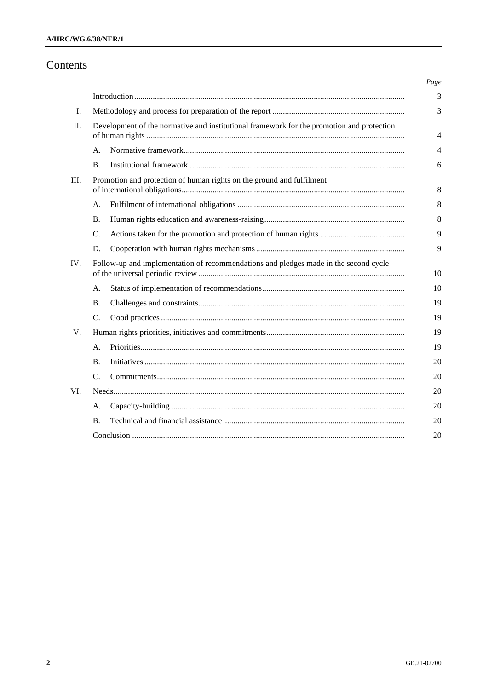# Contents

|                |                                                                                           |  | Page           |
|----------------|-------------------------------------------------------------------------------------------|--|----------------|
|                |                                                                                           |  | 3              |
| $\mathbf{I}$ . |                                                                                           |  |                |
| $\Pi$ .        | Development of the normative and institutional framework for the promotion and protection |  | 4              |
|                | A.                                                                                        |  | $\overline{4}$ |
|                | $\bf{B}$ .                                                                                |  | 6              |
| Ш.             | Promotion and protection of human rights on the ground and fulfilment                     |  | 8              |
|                | A.                                                                                        |  | 8              |
|                | В.                                                                                        |  | 8              |
|                | C.                                                                                        |  | 9              |
|                | D.                                                                                        |  | 9              |
| IV.            | Follow-up and implementation of recommendations and pledges made in the second cycle      |  | 10             |
|                | А.                                                                                        |  | 10             |
|                | <b>B.</b>                                                                                 |  | 19             |
|                | C.                                                                                        |  | 19             |
| V.             |                                                                                           |  | 19             |
|                | А.                                                                                        |  | 19             |
|                | В.                                                                                        |  | 20             |
|                | C.                                                                                        |  | 20             |
| VI.            |                                                                                           |  | 20             |
|                | А.                                                                                        |  | 20             |
|                | В.                                                                                        |  | 20             |
|                |                                                                                           |  | 20             |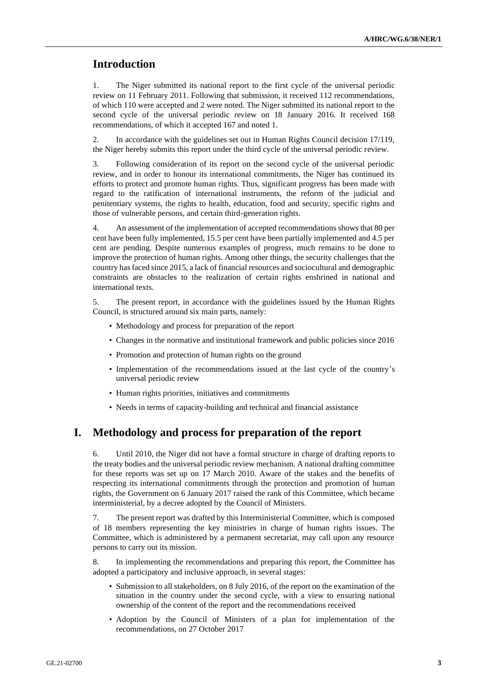# **Introduction**

1. The Niger submitted its national report to the first cycle of the universal periodic review on 11 February 2011. Following that submission, it received 112 recommendations, of which 110 were accepted and 2 were noted. The Niger submitted its national report to the second cycle of the universal periodic review on 18 January 2016. It received 168 recommendations, of which it accepted 167 and noted 1.

2. In accordance with the guidelines set out in Human Rights Council decision 17/119, the Niger hereby submits this report under the third cycle of the universal periodic review.

3. Following consideration of its report on the second cycle of the universal periodic review, and in order to honour its international commitments, the Niger has continued its efforts to protect and promote human rights. Thus, significant progress has been made with regard to the ratification of international instruments, the reform of the judicial and penitentiary systems, the rights to health, education, food and security, specific rights and those of vulnerable persons, and certain third-generation rights.

4. An assessment of the implementation of accepted recommendations shows that 80 per cent have been fully implemented, 15.5 per cent have been partially implemented and 4.5 per cent are pending. Despite numerous examples of progress, much remains to be done to improve the protection of human rights. Among other things, the security challenges that the country has faced since 2015, a lack of financial resources and sociocultural and demographic constraints are obstacles to the realization of certain rights enshrined in national and international texts.

5. The present report, in accordance with the guidelines issued by the Human Rights Council, is structured around six main parts, namely:

- Methodology and process for preparation of the report
- Changes in the normative and institutional framework and public policies since 2016
- Promotion and protection of human rights on the ground
- Implementation of the recommendations issued at the last cycle of the country's universal periodic review
- Human rights priorities, initiatives and commitments
- Needs in terms of capacity-building and technical and financial assistance

# **I. Methodology and process for preparation of the report**

6. Until 2010, the Niger did not have a formal structure in charge of drafting reports to the treaty bodies and the universal periodic review mechanism. A national drafting committee for these reports was set up on 17 March 2010. Aware of the stakes and the benefits of respecting its international commitments through the protection and promotion of human rights, the Government on 6 January 2017 raised the rank of this Committee, which became interministerial, by a decree adopted by the Council of Ministers.

7. The present report was drafted by this Interministerial Committee, which is composed of 18 members representing the key ministries in charge of human rights issues. The Committee, which is administered by a permanent secretariat, may call upon any resource persons to carry out its mission.

8. In implementing the recommendations and preparing this report, the Committee has adopted a participatory and inclusive approach, in several stages:

- Submission to all stakeholders, on 8 July 2016, of the report on the examination of the situation in the country under the second cycle, with a view to ensuring national ownership of the content of the report and the recommendations received
- Adoption by the Council of Ministers of a plan for implementation of the recommendations, on 27 October 2017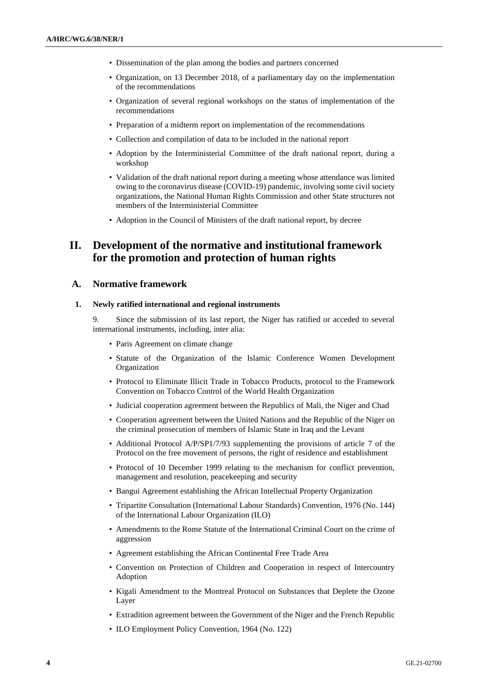- Dissemination of the plan among the bodies and partners concerned
- Organization, on 13 December 2018, of a parliamentary day on the implementation of the recommendations
- Organization of several regional workshops on the status of implementation of the recommendations
- Preparation of a midterm report on implementation of the recommendations
- Collection and compilation of data to be included in the national report
- Adoption by the Interministerial Committee of the draft national report, during a workshop
- Validation of the draft national report during a meeting whose attendance was limited owing to the coronavirus disease (COVID-19) pandemic, involving some civil society organizations, the National Human Rights Commission and other State structures not members of the Interministerial Committee
- Adoption in the Council of Ministers of the draft national report, by decree

# **II. Development of the normative and institutional framework for the promotion and protection of human rights**

#### **A. Normative framework**

#### **1. Newly ratified international and regional instruments**

9. Since the submission of its last report, the Niger has ratified or acceded to several international instruments, including, inter alia:

- Paris Agreement on climate change
- Statute of the Organization of the Islamic Conference Women Development Organization
- Protocol to Eliminate Illicit Trade in Tobacco Products, protocol to the Framework Convention on Tobacco Control of the World Health Organization
- Judicial cooperation agreement between the Republics of Mali, the Niger and Chad
- Cooperation agreement between the United Nations and the Republic of the Niger on the criminal prosecution of members of Islamic State in Iraq and the Levant
- Additional Protocol A/P/SP1/7/93 supplementing the provisions of article 7 of the Protocol on the free movement of persons, the right of residence and establishment
- Protocol of 10 December 1999 relating to the mechanism for conflict prevention, management and resolution, peacekeeping and security
- Bangui Agreement establishing the African Intellectual Property Organization
- Tripartite Consultation (International Labour Standards) Convention, 1976 (No. 144) of the International Labour Organization (ILO)
- Amendments to the Rome Statute of the International Criminal Court on the crime of aggression
- Agreement establishing the African Continental Free Trade Area
- Convention on Protection of Children and Cooperation in respect of Intercountry Adoption
- Kigali Amendment to the Montreal Protocol on Substances that Deplete the Ozone Layer
- Extradition agreement between the Government of the Niger and the French Republic
- ILO Employment Policy Convention, 1964 (No. 122)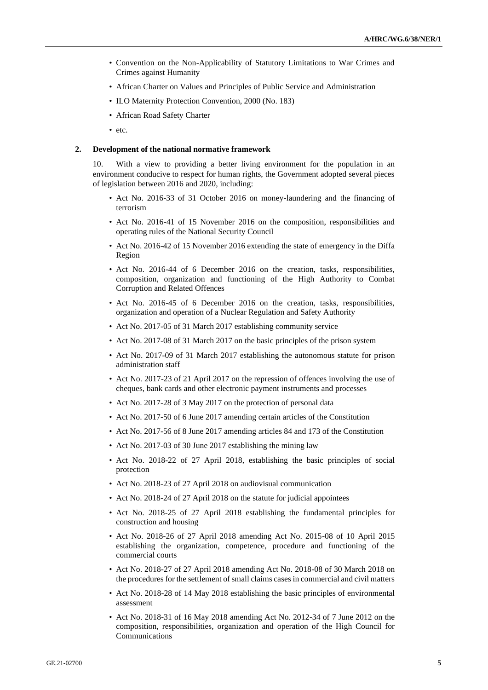- Convention on the Non-Applicability of Statutory Limitations to War Crimes and Crimes against Humanity
- African Charter on Values and Principles of Public Service and Administration
- ILO Maternity Protection Convention, 2000 (No. 183)
- African Road Safety Charter
- etc.

#### **2. Development of the national normative framework**

10. With a view to providing a better living environment for the population in an environment conducive to respect for human rights, the Government adopted several pieces of legislation between 2016 and 2020, including:

- Act No. 2016-33 of 31 October 2016 on money-laundering and the financing of terrorism
- Act No. 2016-41 of 15 November 2016 on the composition, responsibilities and operating rules of the National Security Council
- Act No. 2016-42 of 15 November 2016 extending the state of emergency in the Diffa Region
- Act No. 2016-44 of 6 December 2016 on the creation, tasks, responsibilities, composition, organization and functioning of the High Authority to Combat Corruption and Related Offences
- Act No. 2016-45 of 6 December 2016 on the creation, tasks, responsibilities, organization and operation of a Nuclear Regulation and Safety Authority
- Act No. 2017-05 of 31 March 2017 establishing community service
- Act No. 2017-08 of 31 March 2017 on the basic principles of the prison system
- Act No. 2017-09 of 31 March 2017 establishing the autonomous statute for prison administration staff
- Act No. 2017-23 of 21 April 2017 on the repression of offences involving the use of cheques, bank cards and other electronic payment instruments and processes
- Act No. 2017-28 of 3 May 2017 on the protection of personal data
- Act No. 2017-50 of 6 June 2017 amending certain articles of the Constitution
- Act No. 2017-56 of 8 June 2017 amending articles 84 and 173 of the Constitution
- Act No. 2017-03 of 30 June 2017 establishing the mining law
- Act No. 2018-22 of 27 April 2018, establishing the basic principles of social protection
- Act No. 2018-23 of 27 April 2018 on audiovisual communication
- Act No. 2018-24 of 27 April 2018 on the statute for judicial appointees
- Act No. 2018-25 of 27 April 2018 establishing the fundamental principles for construction and housing
- Act No. 2018-26 of 27 April 2018 amending Act No. 2015-08 of 10 April 2015 establishing the organization, competence, procedure and functioning of the commercial courts
- Act No. 2018-27 of 27 April 2018 amending Act No. 2018-08 of 30 March 2018 on the procedures for the settlement of small claims cases in commercial and civil matters
- Act No. 2018-28 of 14 May 2018 establishing the basic principles of environmental assessment
- Act No. 2018-31 of 16 May 2018 amending Act No. 2012-34 of 7 June 2012 on the composition, responsibilities, organization and operation of the High Council for Communications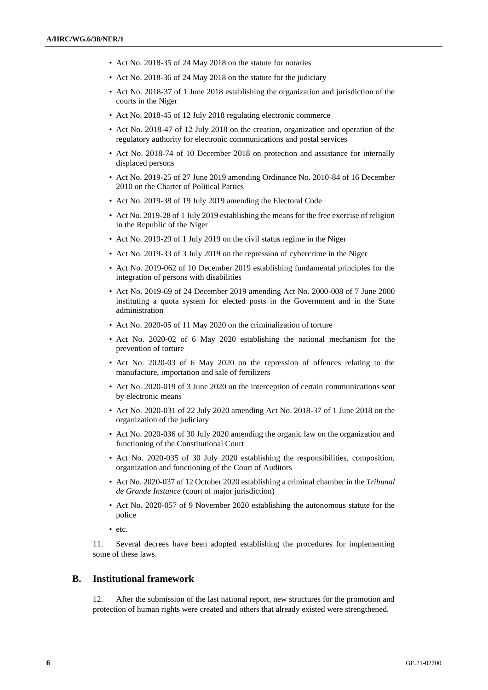- Act No. 2018-35 of 24 May 2018 on the statute for notaries
- Act No. 2018-36 of 24 May 2018 on the statute for the judiciary
- Act No. 2018-37 of 1 June 2018 establishing the organization and jurisdiction of the courts in the Niger
- Act No. 2018-45 of 12 July 2018 regulating electronic commerce
- Act No. 2018-47 of 12 July 2018 on the creation, organization and operation of the regulatory authority for electronic communications and postal services
- Act No. 2018-74 of 10 December 2018 on protection and assistance for internally displaced persons
- Act No. 2019-25 of 27 June 2019 amending Ordinance No. 2010-84 of 16 December 2010 on the Charter of Political Parties
- Act No. 2019-38 of 19 July 2019 amending the Electoral Code
- Act No. 2019-28 of 1 July 2019 establishing the means for the free exercise of religion in the Republic of the Niger
- Act No. 2019-29 of 1 July 2019 on the civil status regime in the Niger
- Act No. 2019-33 of 3 July 2019 on the repression of cybercrime in the Niger
- Act No. 2019-062 of 10 December 2019 establishing fundamental principles for the integration of persons with disabilities
- Act No. 2019-69 of 24 December 2019 amending Act No. 2000-008 of 7 June 2000 instituting a quota system for elected posts in the Government and in the State administration
- Act No. 2020-05 of 11 May 2020 on the criminalization of torture
- Act No. 2020-02 of 6 May 2020 establishing the national mechanism for the prevention of torture
- Act No. 2020-03 of 6 May 2020 on the repression of offences relating to the manufacture, importation and sale of fertilizers
- Act No. 2020-019 of 3 June 2020 on the interception of certain communications sent by electronic means
- Act No. 2020-031 of 22 July 2020 amending Act No. 2018-37 of 1 June 2018 on the organization of the judiciary
- Act No. 2020-036 of 30 July 2020 amending the organic law on the organization and functioning of the Constitutional Court
- Act No. 2020-035 of 30 July 2020 establishing the responsibilities, composition, organization and functioning of the Court of Auditors
- Act No. 2020-037 of 12 October 2020 establishing a criminal chamber in the *Tribunal de Grande Instance* (court of major jurisdiction)
- Act No. 2020-057 of 9 November 2020 establishing the autonomous statute for the police
- etc.

11. Several decrees have been adopted establishing the procedures for implementing some of these laws.

## **B. Institutional framework**

12. After the submission of the last national report, new structures for the promotion and protection of human rights were created and others that already existed were strengthened.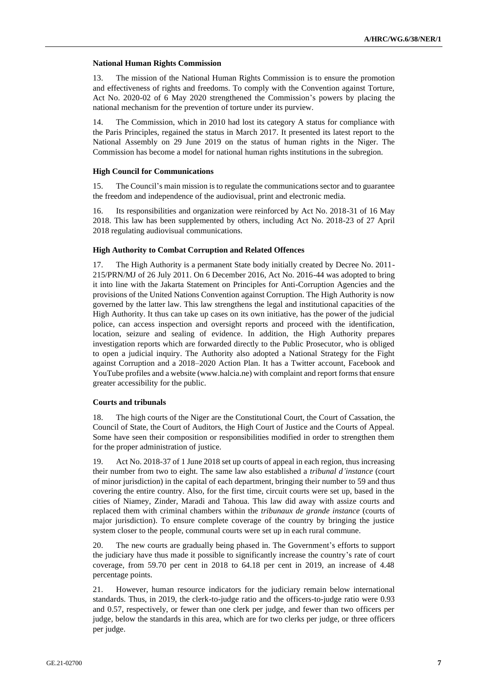#### **National Human Rights Commission**

13. The mission of the National Human Rights Commission is to ensure the promotion and effectiveness of rights and freedoms. To comply with the Convention against Torture, Act No. 2020-02 of 6 May 2020 strengthened the Commission's powers by placing the national mechanism for the prevention of torture under its purview.

14. The Commission, which in 2010 had lost its category A status for compliance with the Paris Principles, regained the status in March 2017. It presented its latest report to the National Assembly on 29 June 2019 on the status of human rights in the Niger. The Commission has become a model for national human rights institutions in the subregion.

#### **High Council for Communications**

15. The Council's main mission is to regulate the communications sector and to guarantee the freedom and independence of the audiovisual, print and electronic media.

16. Its responsibilities and organization were reinforced by Act No. 2018-31 of 16 May 2018. This law has been supplemented by others, including Act No. 2018-23 of 27 April 2018 regulating audiovisual communications.

#### **High Authority to Combat Corruption and Related Offences**

17. The High Authority is a permanent State body initially created by Decree No. 2011- 215/PRN/MJ of 26 July 2011. On 6 December 2016, Act No. 2016-44 was adopted to bring it into line with the Jakarta Statement on Principles for Anti-Corruption Agencies and the provisions of the United Nations Convention against Corruption. The High Authority is now governed by the latter law. This law strengthens the legal and institutional capacities of the High Authority. It thus can take up cases on its own initiative, has the power of the judicial police, can access inspection and oversight reports and proceed with the identification, location, seizure and sealing of evidence. In addition, the High Authority prepares investigation reports which are forwarded directly to the Public Prosecutor, who is obliged to open a judicial inquiry. The Authority also adopted a National Strategy for the Fight against Corruption and a 2018–2020 Action Plan. It has a Twitter account, Facebook and YouTube profiles and a website (www.halcia.ne) with complaint and report forms that ensure greater accessibility for the public.

#### **Courts and tribunals**

18. The high courts of the Niger are the Constitutional Court, the Court of Cassation, the Council of State, the Court of Auditors, the High Court of Justice and the Courts of Appeal. Some have seen their composition or responsibilities modified in order to strengthen them for the proper administration of justice.

19. Act No. 2018-37 of 1 June 2018 set up courts of appeal in each region, thus increasing their number from two to eight. The same law also established a *tribunal d'instance* (court of minor jurisdiction) in the capital of each department, bringing their number to 59 and thus covering the entire country. Also, for the first time, circuit courts were set up, based in the cities of Niamey, Zinder, Maradi and Tahoua. This law did away with assize courts and replaced them with criminal chambers within the *tribunaux de grande instance* (courts of major jurisdiction). To ensure complete coverage of the country by bringing the justice system closer to the people, communal courts were set up in each rural commune.

20. The new courts are gradually being phased in. The Government's efforts to support the judiciary have thus made it possible to significantly increase the country's rate of court coverage, from 59.70 per cent in 2018 to 64.18 per cent in 2019, an increase of 4.48 percentage points.

21. However, human resource indicators for the judiciary remain below international standards. Thus, in 2019, the clerk-to-judge ratio and the officers-to-judge ratio were 0.93 and 0.57, respectively, or fewer than one clerk per judge, and fewer than two officers per judge, below the standards in this area, which are for two clerks per judge, or three officers per judge.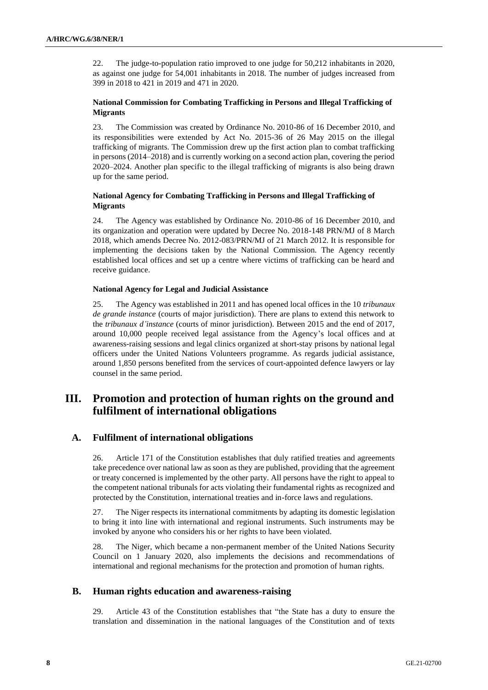22. The judge-to-population ratio improved to one judge for 50,212 inhabitants in 2020, as against one judge for 54,001 inhabitants in 2018. The number of judges increased from 399 in 2018 to 421 in 2019 and 471 in 2020.

### **National Commission for Combating Trafficking in Persons and Illegal Trafficking of Migrants**

23. The Commission was created by Ordinance No. 2010-86 of 16 December 2010, and its responsibilities were extended by Act No. 2015-36 of 26 May 2015 on the illegal trafficking of migrants. The Commission drew up the first action plan to combat trafficking in persons (2014–2018) and is currently working on a second action plan, covering the period 2020–2024. Another plan specific to the illegal trafficking of migrants is also being drawn up for the same period.

### **National Agency for Combating Trafficking in Persons and Illegal Trafficking of Migrants**

24. The Agency was established by Ordinance No. 2010-86 of 16 December 2010, and its organization and operation were updated by Decree No. 2018-148 PRN/MJ of 8 March 2018, which amends Decree No. 2012-083/PRN/MJ of 21 March 2012. It is responsible for implementing the decisions taken by the National Commission. The Agency recently established local offices and set up a centre where victims of trafficking can be heard and receive guidance.

#### **National Agency for Legal and Judicial Assistance**

25. The Agency was established in 2011 and has opened local offices in the 10 *tribunaux de grande instance* (courts of major jurisdiction). There are plans to extend this network to the *tribunaux d'instance* (courts of minor jurisdiction). Between 2015 and the end of 2017, around 10,000 people received legal assistance from the Agency's local offices and at awareness-raising sessions and legal clinics organized at short-stay prisons by national legal officers under the United Nations Volunteers programme. As regards judicial assistance, around 1,850 persons benefited from the services of court-appointed defence lawyers or lay counsel in the same period.

# **III. Promotion and protection of human rights on the ground and fulfilment of international obligations**

## **A. Fulfilment of international obligations**

26. Article 171 of the Constitution establishes that duly ratified treaties and agreements take precedence over national law as soon as they are published, providing that the agreement or treaty concerned is implemented by the other party. All persons have the right to appeal to the competent national tribunals for acts violating their fundamental rights as recognized and protected by the Constitution, international treaties and in-force laws and regulations.

27. The Niger respects its international commitments by adapting its domestic legislation to bring it into line with international and regional instruments. Such instruments may be invoked by anyone who considers his or her rights to have been violated.

28. The Niger, which became a non-permanent member of the United Nations Security Council on 1 January 2020, also implements the decisions and recommendations of international and regional mechanisms for the protection and promotion of human rights.

## **B. Human rights education and awareness-raising**

29. Article 43 of the Constitution establishes that "the State has a duty to ensure the translation and dissemination in the national languages of the Constitution and of texts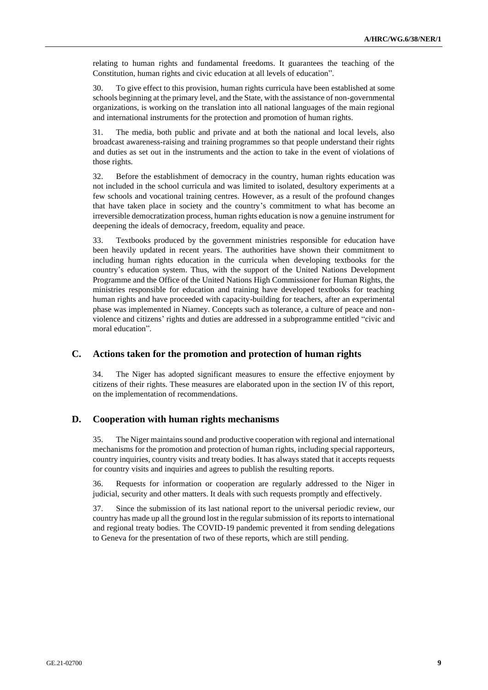relating to human rights and fundamental freedoms. It guarantees the teaching of the Constitution, human rights and civic education at all levels of education".

30. To give effect to this provision, human rights curricula have been established at some schools beginning at the primary level, and the State, with the assistance of non-governmental organizations, is working on the translation into all national languages of the main regional and international instruments for the protection and promotion of human rights.

31. The media, both public and private and at both the national and local levels, also broadcast awareness-raising and training programmes so that people understand their rights and duties as set out in the instruments and the action to take in the event of violations of those rights.

32. Before the establishment of democracy in the country, human rights education was not included in the school curricula and was limited to isolated, desultory experiments at a few schools and vocational training centres. However, as a result of the profound changes that have taken place in society and the country's commitment to what has become an irreversible democratization process, human rights education is now a genuine instrument for deepening the ideals of democracy, freedom, equality and peace.

33. Textbooks produced by the government ministries responsible for education have been heavily updated in recent years. The authorities have shown their commitment to including human rights education in the curricula when developing textbooks for the country's education system. Thus, with the support of the United Nations Development Programme and the Office of the United Nations High Commissioner for Human Rights, the ministries responsible for education and training have developed textbooks for teaching human rights and have proceeded with capacity-building for teachers, after an experimental phase was implemented in Niamey. Concepts such as tolerance, a culture of peace and nonviolence and citizens' rights and duties are addressed in a subprogramme entitled "civic and moral education".

## **C. Actions taken for the promotion and protection of human rights**

34. The Niger has adopted significant measures to ensure the effective enjoyment by citizens of their rights. These measures are elaborated upon in the section IV of this report, on the implementation of recommendations.

## **D. Cooperation with human rights mechanisms**

35. The Niger maintains sound and productive cooperation with regional and international mechanisms for the promotion and protection of human rights, including special rapporteurs, country inquiries, country visits and treaty bodies. It has always stated that it accepts requests for country visits and inquiries and agrees to publish the resulting reports.

36. Requests for information or cooperation are regularly addressed to the Niger in judicial, security and other matters. It deals with such requests promptly and effectively.

37. Since the submission of its last national report to the universal periodic review, our country has made up all the ground lost in the regular submission of its reports to international and regional treaty bodies. The COVID-19 pandemic prevented it from sending delegations to Geneva for the presentation of two of these reports, which are still pending.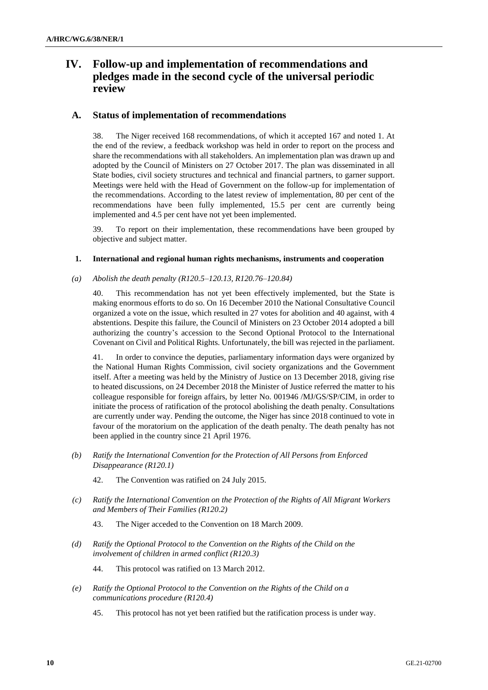# **IV. Follow-up and implementation of recommendations and pledges made in the second cycle of the universal periodic review**

## **A. Status of implementation of recommendations**

38. The Niger received 168 recommendations, of which it accepted 167 and noted 1. At the end of the review, a feedback workshop was held in order to report on the process and share the recommendations with all stakeholders. An implementation plan was drawn up and adopted by the Council of Ministers on 27 October 2017. The plan was disseminated in all State bodies, civil society structures and technical and financial partners, to garner support. Meetings were held with the Head of Government on the follow-up for implementation of the recommendations. According to the latest review of implementation, 80 per cent of the recommendations have been fully implemented, 15.5 per cent are currently being implemented and 4.5 per cent have not yet been implemented.

39. To report on their implementation, these recommendations have been grouped by objective and subject matter.

#### **1. International and regional human rights mechanisms, instruments and cooperation**

*(a) Abolish the death penalty (R120.5–120.13, R120.76–120.84)*

40. This recommendation has not yet been effectively implemented, but the State is making enormous efforts to do so. On 16 December 2010 the National Consultative Council organized a vote on the issue, which resulted in 27 votes for abolition and 40 against, with 4 abstentions. Despite this failure, the Council of Ministers on 23 October 2014 adopted a bill authorizing the country's accession to the Second Optional Protocol to the International Covenant on Civil and Political Rights. Unfortunately, the bill was rejected in the parliament.

41. In order to convince the deputies, parliamentary information days were organized by the National Human Rights Commission, civil society organizations and the Government itself. After a meeting was held by the Ministry of Justice on 13 December 2018, giving rise to heated discussions, on 24 December 2018 the Minister of Justice referred the matter to his colleague responsible for foreign affairs, by letter No. 001946 /MJ/GS/SP/CIM, in order to initiate the process of ratification of the protocol abolishing the death penalty. Consultations are currently under way. Pending the outcome, the Niger has since 2018 continued to vote in favour of the moratorium on the application of the death penalty. The death penalty has not been applied in the country since 21 April 1976.

- *(b) Ratify the International Convention for the Protection of All Persons from Enforced Disappearance (R120.1)*
	- 42. The Convention was ratified on 24 July 2015.
- *(c) Ratify the International Convention on the Protection of the Rights of All Migrant Workers and Members of Their Families (R120.2)*
	- 43. The Niger acceded to the Convention on 18 March 2009.
- *(d) Ratify the Optional Protocol to the Convention on the Rights of the Child on the involvement of children in armed conflict (R120.3)*

44. This protocol was ratified on 13 March 2012.

- *(e) Ratify the Optional Protocol to the Convention on the Rights of the Child on a communications procedure (R120.4)*
	- 45. This protocol has not yet been ratified but the ratification process is under way.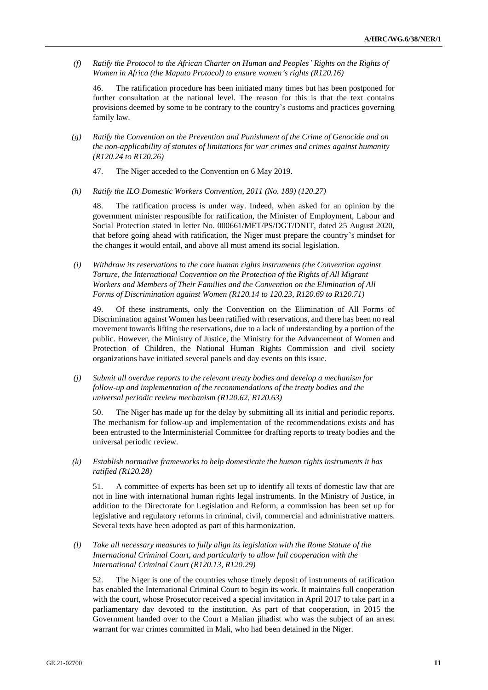*(f) Ratify the Protocol to the African Charter on Human and Peoples' Rights on the Rights of Women in Africa (the Maputo Protocol) to ensure women's rights (R120.16)*

46. The ratification procedure has been initiated many times but has been postponed for further consultation at the national level. The reason for this is that the text contains provisions deemed by some to be contrary to the country's customs and practices governing family law.

- *(g) Ratify the Convention on the Prevention and Punishment of the Crime of Genocide and on the non-applicability of statutes of limitations for war crimes and crimes against humanity (R120.24 to R120.26)*
	- 47. The Niger acceded to the Convention on 6 May 2019.
- *(h) Ratify the ILO Domestic Workers Convention, 2011 (No. 189) (120.27)*

48. The ratification process is under way. Indeed, when asked for an opinion by the government minister responsible for ratification, the Minister of Employment, Labour and Social Protection stated in letter No. 000661/MET/PS/DGT/DNIT, dated 25 August 2020, that before going ahead with ratification, the Niger must prepare the country's mindset for the changes it would entail, and above all must amend its social legislation.

*(i) Withdraw its reservations to the core human rights instruments (the Convention against Torture, the International Convention on the Protection of the Rights of All Migrant Workers and Members of Their Families and the Convention on the Elimination of All Forms of Discrimination against Women (R120.14 to 120.23, R120.69 to R120.71)*

49. Of these instruments, only the Convention on the Elimination of All Forms of Discrimination against Women has been ratified with reservations, and there has been no real movement towards lifting the reservations, due to a lack of understanding by a portion of the public. However, the Ministry of Justice, the Ministry for the Advancement of Women and Protection of Children, the National Human Rights Commission and civil society organizations have initiated several panels and day events on this issue.

*(j) Submit all overdue reports to the relevant treaty bodies and develop a mechanism for follow-up and implementation of the recommendations of the treaty bodies and the universal periodic review mechanism (R120.62, R120.63)*

50. The Niger has made up for the delay by submitting all its initial and periodic reports. The mechanism for follow-up and implementation of the recommendations exists and has been entrusted to the Interministerial Committee for drafting reports to treaty bodies and the universal periodic review.

*(k) Establish normative frameworks to help domesticate the human rights instruments it has ratified (R120.28)*

51. A committee of experts has been set up to identify all texts of domestic law that are not in line with international human rights legal instruments. In the Ministry of Justice, in addition to the Directorate for Legislation and Reform, a commission has been set up for legislative and regulatory reforms in criminal, civil, commercial and administrative matters. Several texts have been adopted as part of this harmonization.

*(l) Take all necessary measures to fully align its legislation with the Rome Statute of the International Criminal Court, and particularly to allow full cooperation with the International Criminal Court (R120.13, R120.29)*

52. The Niger is one of the countries whose timely deposit of instruments of ratification has enabled the International Criminal Court to begin its work. It maintains full cooperation with the court, whose Prosecutor received a special invitation in April 2017 to take part in a parliamentary day devoted to the institution. As part of that cooperation, in 2015 the Government handed over to the Court a Malian jihadist who was the subject of an arrest warrant for war crimes committed in Mali, who had been detained in the Niger.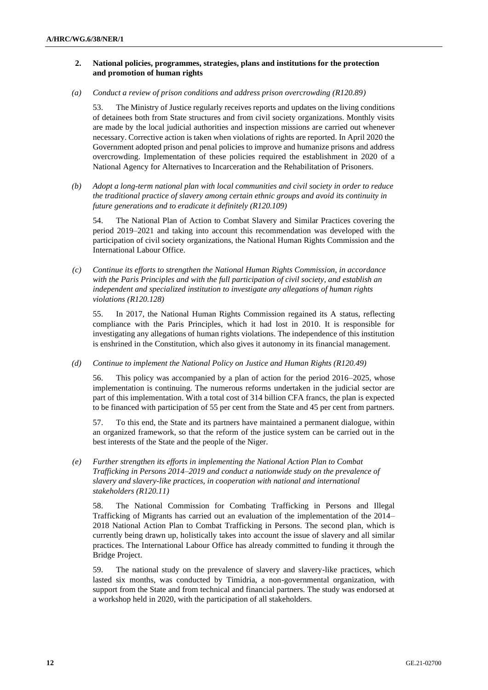#### **2. National policies, programmes, strategies, plans and institutions for the protection and promotion of human rights**

*(a) Conduct a review of prison conditions and address prison overcrowding (R120.89)*

53. The Ministry of Justice regularly receives reports and updates on the living conditions of detainees both from State structures and from civil society organizations. Monthly visits are made by the local judicial authorities and inspection missions are carried out whenever necessary. Corrective action is taken when violations of rights are reported. In April 2020 the Government adopted prison and penal policies to improve and humanize prisons and address overcrowding. Implementation of these policies required the establishment in 2020 of a National Agency for Alternatives to Incarceration and the Rehabilitation of Prisoners.

*(b) Adopt a long-term national plan with local communities and civil society in order to reduce the traditional practice of slavery among certain ethnic groups and avoid its continuity in future generations and to eradicate it definitely (R120.109)*

54. The National Plan of Action to Combat Slavery and Similar Practices covering the period 2019–2021 and taking into account this recommendation was developed with the participation of civil society organizations, the National Human Rights Commission and the International Labour Office.

*(c) Continue its efforts to strengthen the National Human Rights Commission, in accordance with the Paris Principles and with the full participation of civil society, and establish an independent and specialized institution to investigate any allegations of human rights violations (R120.128)*

55. In 2017, the National Human Rights Commission regained its A status, reflecting compliance with the Paris Principles, which it had lost in 2010. It is responsible for investigating any allegations of human rights violations. The independence of this institution is enshrined in the Constitution, which also gives it autonomy in its financial management.

*(d) Continue to implement the National Policy on Justice and Human Rights (R120.49)*

56. This policy was accompanied by a plan of action for the period 2016–2025, whose implementation is continuing. The numerous reforms undertaken in the judicial sector are part of this implementation. With a total cost of 314 billion CFA francs, the plan is expected to be financed with participation of 55 per cent from the State and 45 per cent from partners.

57. To this end, the State and its partners have maintained a permanent dialogue, within an organized framework, so that the reform of the justice system can be carried out in the best interests of the State and the people of the Niger.

*(e) Further strengthen its efforts in implementing the National Action Plan to Combat Trafficking in Persons 2014–2019 and conduct a nationwide study on the prevalence of slavery and slavery-like practices, in cooperation with national and international stakeholders (R120.11)*

58. The National Commission for Combating Trafficking in Persons and Illegal Trafficking of Migrants has carried out an evaluation of the implementation of the 2014– 2018 National Action Plan to Combat Trafficking in Persons. The second plan, which is currently being drawn up, holistically takes into account the issue of slavery and all similar practices. The International Labour Office has already committed to funding it through the Bridge Project.

59. The national study on the prevalence of slavery and slavery-like practices, which lasted six months, was conducted by Timidria, a non-governmental organization, with support from the State and from technical and financial partners. The study was endorsed at a workshop held in 2020, with the participation of all stakeholders.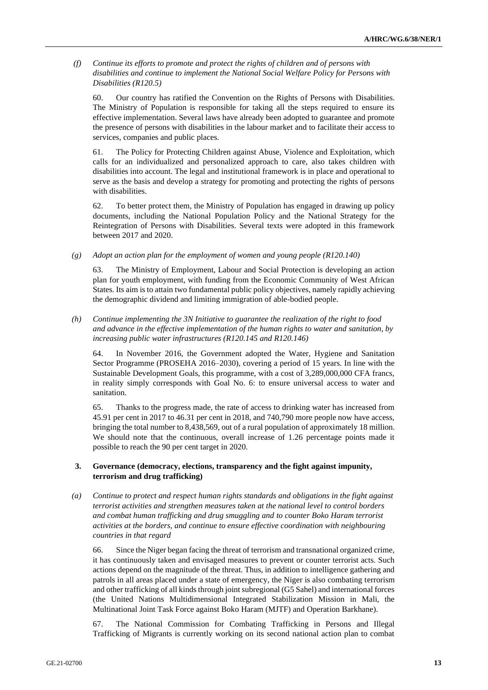*(f) Continue its efforts to promote and protect the rights of children and of persons with disabilities and continue to implement the National Social Welfare Policy for Persons with Disabilities (R120.5)*

60. Our country has ratified the Convention on the Rights of Persons with Disabilities. The Ministry of Population is responsible for taking all the steps required to ensure its effective implementation. Several laws have already been adopted to guarantee and promote the presence of persons with disabilities in the labour market and to facilitate their access to services, companies and public places.

61. The Policy for Protecting Children against Abuse, Violence and Exploitation, which calls for an individualized and personalized approach to care, also takes children with disabilities into account. The legal and institutional framework is in place and operational to serve as the basis and develop a strategy for promoting and protecting the rights of persons with disabilities.

62. To better protect them, the Ministry of Population has engaged in drawing up policy documents, including the National Population Policy and the National Strategy for the Reintegration of Persons with Disabilities. Several texts were adopted in this framework between 2017 and 2020.

*(g) Adopt an action plan for the employment of women and young people (R120.140)*

63. The Ministry of Employment, Labour and Social Protection is developing an action plan for youth employment, with funding from the Economic Community of West African States. Its aim is to attain two fundamental public policy objectives, namely rapidly achieving the demographic dividend and limiting immigration of able-bodied people.

*(h) Continue implementing the 3N Initiative to guarantee the realization of the right to food and advance in the effective implementation of the human rights to water and sanitation, by increasing public water infrastructures (R120.145 and R120.146)*

64. In November 2016, the Government adopted the Water, Hygiene and Sanitation Sector Programme (PROSEHA 2016–2030), covering a period of 15 years. In line with the Sustainable Development Goals, this programme, with a cost of 3,289,000,000 CFA francs, in reality simply corresponds with Goal No. 6: to ensure universal access to water and sanitation.

65. Thanks to the progress made, the rate of access to drinking water has increased from 45.91 per cent in 2017 to 46.31 per cent in 2018, and 740,790 more people now have access, bringing the total number to 8,438,569, out of a rural population of approximately 18 million. We should note that the continuous, overall increase of 1.26 percentage points made it possible to reach the 90 per cent target in 2020.

#### **3. Governance (democracy, elections, transparency and the fight against impunity, terrorism and drug trafficking)**

*(a) Continue to protect and respect human rights standards and obligations in the fight against terrorist activities and strengthen measures taken at the national level to control borders and combat human trafficking and drug smuggling and to counter Boko Haram terrorist activities at the borders, and continue to ensure effective coordination with neighbouring countries in that regard*

66. Since the Niger began facing the threat of terrorism and transnational organized crime, it has continuously taken and envisaged measures to prevent or counter terrorist acts. Such actions depend on the magnitude of the threat. Thus, in addition to intelligence gathering and patrols in all areas placed under a state of emergency, the Niger is also combating terrorism and other trafficking of all kinds through joint subregional (G5 Sahel) and international forces (the United Nations Multidimensional Integrated Stabilization Mission in Mali, the Multinational Joint Task Force against Boko Haram (MJTF) and Operation Barkhane).

67. The National Commission for Combating Trafficking in Persons and Illegal Trafficking of Migrants is currently working on its second national action plan to combat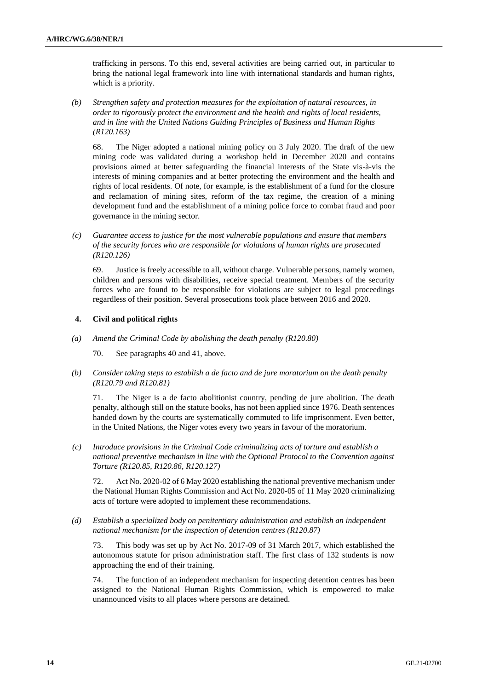trafficking in persons. To this end, several activities are being carried out, in particular to bring the national legal framework into line with international standards and human rights, which is a priority.

*(b) Strengthen safety and protection measures for the exploitation of natural resources, in order to rigorously protect the environment and the health and rights of local residents, and in line with the United Nations Guiding Principles of Business and Human Rights (R120.163)*

68. The Niger adopted a national mining policy on 3 July 2020. The draft of the new mining code was validated during a workshop held in December 2020 and contains provisions aimed at better safeguarding the financial interests of the State vis-à-vis the interests of mining companies and at better protecting the environment and the health and rights of local residents. Of note, for example, is the establishment of a fund for the closure and reclamation of mining sites, reform of the tax regime, the creation of a mining development fund and the establishment of a mining police force to combat fraud and poor governance in the mining sector.

*(c) Guarantee access to justice for the most vulnerable populations and ensure that members of the security forces who are responsible for violations of human rights are prosecuted (R120.126)*

69. Justice is freely accessible to all, without charge. Vulnerable persons, namely women, children and persons with disabilities, receive special treatment. Members of the security forces who are found to be responsible for violations are subject to legal proceedings regardless of their position. Several prosecutions took place between 2016 and 2020.

#### **4. Civil and political rights**

*(a) Amend the Criminal Code by abolishing the death penalty (R120.80)*

70. See paragraphs 40 and 41, above.

*(b) Consider taking steps to establish a de facto and de jure moratorium on the death penalty (R120.79 and R120.81)*

71. The Niger is a de facto abolitionist country, pending de jure abolition. The death penalty, although still on the statute books, has not been applied since 1976. Death sentences handed down by the courts are systematically commuted to life imprisonment. Even better, in the United Nations, the Niger votes every two years in favour of the moratorium.

*(c) Introduce provisions in the Criminal Code criminalizing acts of torture and establish a national preventive mechanism in line with the Optional Protocol to the Convention against Torture (R120.85, R120.86, R120.127)*

72. Act No. 2020-02 of 6 May 2020 establishing the national preventive mechanism under the National Human Rights Commission and Act No. 2020-05 of 11 May 2020 criminalizing acts of torture were adopted to implement these recommendations.

*(d) Establish a specialized body on penitentiary administration and establish an independent national mechanism for the inspection of detention centres (R120.87)*

73. This body was set up by Act No. 2017-09 of 31 March 2017, which established the autonomous statute for prison administration staff. The first class of 132 students is now approaching the end of their training.

74. The function of an independent mechanism for inspecting detention centres has been assigned to the National Human Rights Commission, which is empowered to make unannounced visits to all places where persons are detained.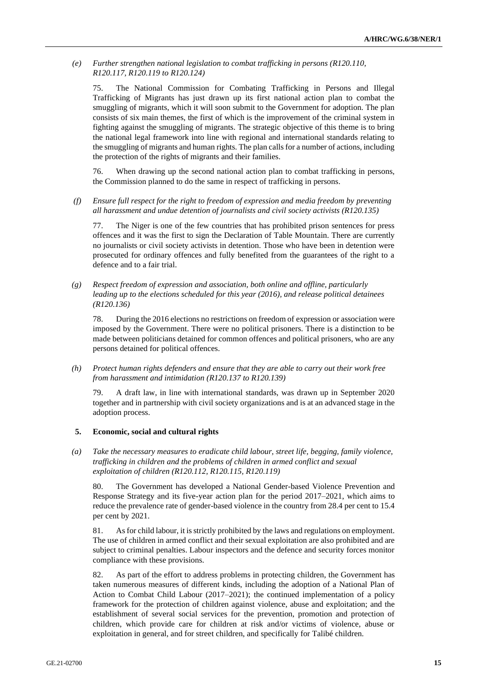*(e) Further strengthen national legislation to combat trafficking in persons (R120.110, R120.117, R120.119 to R120.124)*

75. The National Commission for Combating Trafficking in Persons and Illegal Trafficking of Migrants has just drawn up its first national action plan to combat the smuggling of migrants, which it will soon submit to the Government for adoption. The plan consists of six main themes, the first of which is the improvement of the criminal system in fighting against the smuggling of migrants. The strategic objective of this theme is to bring the national legal framework into line with regional and international standards relating to the smuggling of migrants and human rights. The plan calls for a number of actions, including the protection of the rights of migrants and their families.

76. When drawing up the second national action plan to combat trafficking in persons, the Commission planned to do the same in respect of trafficking in persons.

*(f) Ensure full respect for the right to freedom of expression and media freedom by preventing all harassment and undue detention of journalists and civil society activists (R120.135)*

77. The Niger is one of the few countries that has prohibited prison sentences for press offences and it was the first to sign the Declaration of Table Mountain. There are currently no journalists or civil society activists in detention. Those who have been in detention were prosecuted for ordinary offences and fully benefited from the guarantees of the right to a defence and to a fair trial.

*(g) Respect freedom of expression and association, both online and offline, particularly leading up to the elections scheduled for this year (2016), and release political detainees (R120.136)*

78. During the 2016 elections no restrictions on freedom of expression or association were imposed by the Government. There were no political prisoners. There is a distinction to be made between politicians detained for common offences and political prisoners, who are any persons detained for political offences.

*(h) Protect human rights defenders and ensure that they are able to carry out their work free from harassment and intimidation (R120.137 to R120.139)*

79. A draft law, in line with international standards, was drawn up in September 2020 together and in partnership with civil society organizations and is at an advanced stage in the adoption process.

#### **5. Economic, social and cultural rights**

*(a) Take the necessary measures to eradicate child labour, street life, begging, family violence, trafficking in children and the problems of children in armed conflict and sexual exploitation of children (R120.112, R120.115, R120.119)*

80. The Government has developed a National Gender-based Violence Prevention and Response Strategy and its five-year action plan for the period 2017–2021, which aims to reduce the prevalence rate of gender-based violence in the country from 28.4 per cent to 15.4 per cent by 2021.

81. As for child labour, it is strictly prohibited by the laws and regulations on employment. The use of children in armed conflict and their sexual exploitation are also prohibited and are subject to criminal penalties. Labour inspectors and the defence and security forces monitor compliance with these provisions.

82. As part of the effort to address problems in protecting children, the Government has taken numerous measures of different kinds, including the adoption of a National Plan of Action to Combat Child Labour (2017–2021); the continued implementation of a policy framework for the protection of children against violence, abuse and exploitation; and the establishment of several social services for the prevention, promotion and protection of children, which provide care for children at risk and/or victims of violence, abuse or exploitation in general, and for street children, and specifically for Talibé children.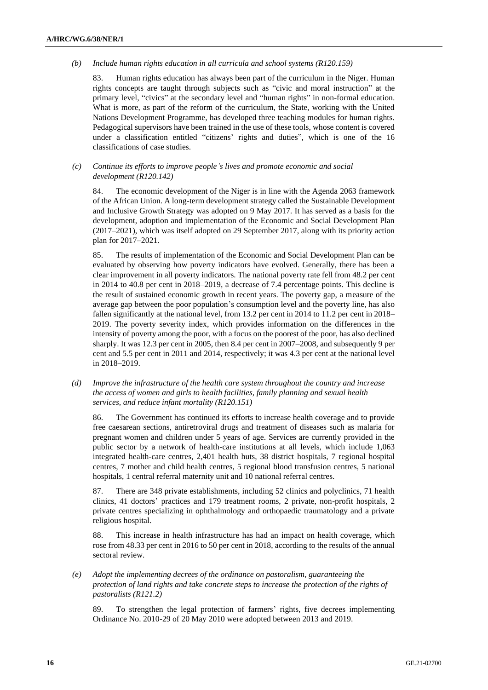#### *(b) Include human rights education in all curricula and school systems (R120.159)*

83. Human rights education has always been part of the curriculum in the Niger. Human rights concepts are taught through subjects such as "civic and moral instruction" at the primary level, "civics" at the secondary level and "human rights" in non-formal education. What is more, as part of the reform of the curriculum, the State, working with the United Nations Development Programme, has developed three teaching modules for human rights. Pedagogical supervisors have been trained in the use of these tools, whose content is covered under a classification entitled "citizens' rights and duties", which is one of the 16 classifications of case studies.

#### *(c) Continue its efforts to improve people's lives and promote economic and social development (R120.142)*

84. The economic development of the Niger is in line with the Agenda 2063 framework of the African Union. A long-term development strategy called the Sustainable Development and Inclusive Growth Strategy was adopted on 9 May 2017. It has served as a basis for the development, adoption and implementation of the Economic and Social Development Plan (2017–2021), which was itself adopted on 29 September 2017, along with its priority action plan for 2017–2021.

85. The results of implementation of the Economic and Social Development Plan can be evaluated by observing how poverty indicators have evolved. Generally, there has been a clear improvement in all poverty indicators. The national poverty rate fell from 48.2 per cent in 2014 to 40.8 per cent in 2018–2019, a decrease of 7.4 percentage points. This decline is the result of sustained economic growth in recent years. The poverty gap, a measure of the average gap between the poor population's consumption level and the poverty line, has also fallen significantly at the national level, from 13.2 per cent in 2014 to 11.2 per cent in 2018– 2019. The poverty severity index, which provides information on the differences in the intensity of poverty among the poor, with a focus on the poorest of the poor, has also declined sharply. It was 12.3 per cent in 2005, then 8.4 per cent in 2007–2008, and subsequently 9 per cent and 5.5 per cent in 2011 and 2014, respectively; it was 4.3 per cent at the national level in 2018–2019.

*(d) Improve the infrastructure of the health care system throughout the country and increase the access of women and girls to health facilities, family planning and sexual health services, and reduce infant mortality (R120.151)*

86. The Government has continued its efforts to increase health coverage and to provide free caesarean sections, antiretroviral drugs and treatment of diseases such as malaria for pregnant women and children under 5 years of age. Services are currently provided in the public sector by a network of health-care institutions at all levels, which include 1,063 integrated health-care centres, 2,401 health huts, 38 district hospitals, 7 regional hospital centres, 7 mother and child health centres, 5 regional blood transfusion centres, 5 national hospitals, 1 central referral maternity unit and 10 national referral centres.

87. There are 348 private establishments, including 52 clinics and polyclinics, 71 health clinics, 41 doctors' practices and 179 treatment rooms, 2 private, non-profit hospitals, 2 private centres specializing in ophthalmology and orthopaedic traumatology and a private religious hospital.

88. This increase in health infrastructure has had an impact on health coverage, which rose from 48.33 per cent in 2016 to 50 per cent in 2018, according to the results of the annual sectoral review.

*(e) Adopt the implementing decrees of the ordinance on pastoralism, guaranteeing the protection of land rights and take concrete steps to increase the protection of the rights of pastoralists (R121.2)*

89. To strengthen the legal protection of farmers' rights, five decrees implementing Ordinance No. 2010-29 of 20 May 2010 were adopted between 2013 and 2019.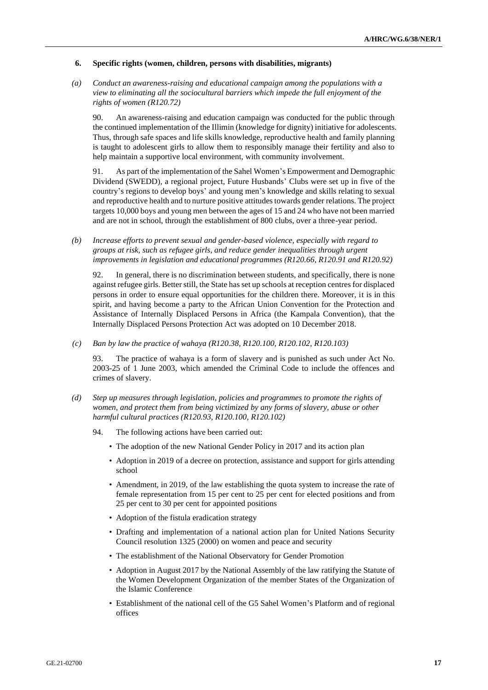#### **6. Specific rights (women, children, persons with disabilities, migrants)**

*(a) Conduct an awareness-raising and educational campaign among the populations with a view to eliminating all the sociocultural barriers which impede the full enjoyment of the rights of women (R120.72)*

90. An awareness-raising and education campaign was conducted for the public through the continued implementation of the Illimin (knowledge for dignity) initiative for adolescents. Thus, through safe spaces and life skills knowledge, reproductive health and family planning is taught to adolescent girls to allow them to responsibly manage their fertility and also to help maintain a supportive local environment, with community involvement.

91. As part of the implementation of the Sahel Women's Empowerment and Demographic Dividend (SWEDD), a regional project, Future Husbands' Clubs were set up in five of the country's regions to develop boys' and young men's knowledge and skills relating to sexual and reproductive health and to nurture positive attitudes towards gender relations. The project targets 10,000 boys and young men between the ages of 15 and 24 who have not been married and are not in school, through the establishment of 800 clubs, over a three-year period.

*(b) Increase efforts to prevent sexual and gender-based violence, especially with regard to groups at risk, such as refugee girls, and reduce gender inequalities through urgent improvements in legislation and educational programmes (R120.66, R120.91 and R120.92)*

92. In general, there is no discrimination between students, and specifically, there is none against refugee girls. Better still, the State has set up schools at reception centres for displaced persons in order to ensure equal opportunities for the children there. Moreover, it is in this spirit, and having become a party to the African Union Convention for the Protection and Assistance of Internally Displaced Persons in Africa (the Kampala Convention), that the Internally Displaced Persons Protection Act was adopted on 10 December 2018.

*(c) Ban by law the practice of wahaya (R120.38, R120.100, R120.102, R120.103)*

93. The practice of wahaya is a form of slavery and is punished as such under Act No. 2003-25 of 1 June 2003, which amended the Criminal Code to include the offences and crimes of slavery.

- *(d) Step up measures through legislation, policies and programmes to promote the rights of women, and protect them from being victimized by any forms of slavery, abuse or other harmful cultural practices (R120.93, R120.100, R120.102)*
	- 94. The following actions have been carried out:
		- The adoption of the new National Gender Policy in 2017 and its action plan
		- Adoption in 2019 of a decree on protection, assistance and support for girls attending school
		- Amendment, in 2019, of the law establishing the quota system to increase the rate of female representation from 15 per cent to 25 per cent for elected positions and from 25 per cent to 30 per cent for appointed positions
		- Adoption of the fistula eradication strategy
		- Drafting and implementation of a national action plan for United Nations Security Council resolution 1325 (2000) on women and peace and security
		- The establishment of the National Observatory for Gender Promotion
		- Adoption in August 2017 by the National Assembly of the law ratifying the Statute of the Women Development Organization of the member States of the Organization of the Islamic Conference
		- Establishment of the national cell of the G5 Sahel Women's Platform and of regional offices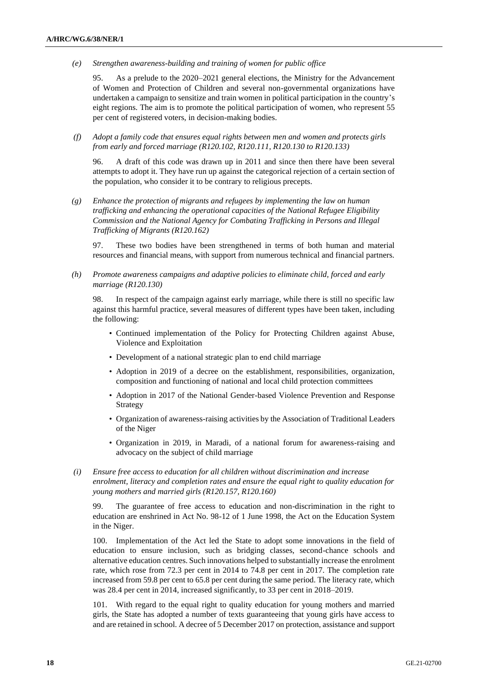*(e) Strengthen awareness-building and training of women for public office*

95. As a prelude to the 2020–2021 general elections, the Ministry for the Advancement of Women and Protection of Children and several non-governmental organizations have undertaken a campaign to sensitize and train women in political participation in the country's eight regions. The aim is to promote the political participation of women, who represent 55 per cent of registered voters, in decision-making bodies.

*(f) Adopt a family code that ensures equal rights between men and women and protects girls from early and forced marriage (R120.102, R120.111, R120.130 to R120.133)*

96. A draft of this code was drawn up in 2011 and since then there have been several attempts to adopt it. They have run up against the categorical rejection of a certain section of the population, who consider it to be contrary to religious precepts.

*(g) Enhance the protection of migrants and refugees by implementing the law on human trafficking and enhancing the operational capacities of the National Refugee Eligibility Commission and the National Agency for Combating Trafficking in Persons and Illegal Trafficking of Migrants (R120.162)*

97. These two bodies have been strengthened in terms of both human and material resources and financial means, with support from numerous technical and financial partners.

*(h) Promote awareness campaigns and adaptive policies to eliminate child, forced and early marriage (R120.130)*

98. In respect of the campaign against early marriage, while there is still no specific law against this harmful practice, several measures of different types have been taken, including the following:

- Continued implementation of the Policy for Protecting Children against Abuse, Violence and Exploitation
- Development of a national strategic plan to end child marriage
- Adoption in 2019 of a decree on the establishment, responsibilities, organization, composition and functioning of national and local child protection committees
- Adoption in 2017 of the National Gender-based Violence Prevention and Response Strategy
- Organization of awareness-raising activities by the Association of Traditional Leaders of the Niger
- Organization in 2019, in Maradi, of a national forum for awareness-raising and advocacy on the subject of child marriage
- *(i) Ensure free access to education for all children without discrimination and increase enrolment, literacy and completion rates and ensure the equal right to quality education for young mothers and married girls (R120.157, R120.160)*

99. The guarantee of free access to education and non-discrimination in the right to education are enshrined in Act No. 98-12 of 1 June 1998, the Act on the Education System in the Niger.

100. Implementation of the Act led the State to adopt some innovations in the field of education to ensure inclusion, such as bridging classes, second-chance schools and alternative education centres. Such innovations helped to substantially increase the enrolment rate, which rose from 72.3 per cent in 2014 to 74.8 per cent in 2017. The completion rate increased from 59.8 per cent to 65.8 per cent during the same period. The literacy rate, which was 28.4 per cent in 2014, increased significantly, to 33 per cent in 2018–2019.

101. With regard to the equal right to quality education for young mothers and married girls, the State has adopted a number of texts guaranteeing that young girls have access to and are retained in school. A decree of 5 December 2017 on protection, assistance and support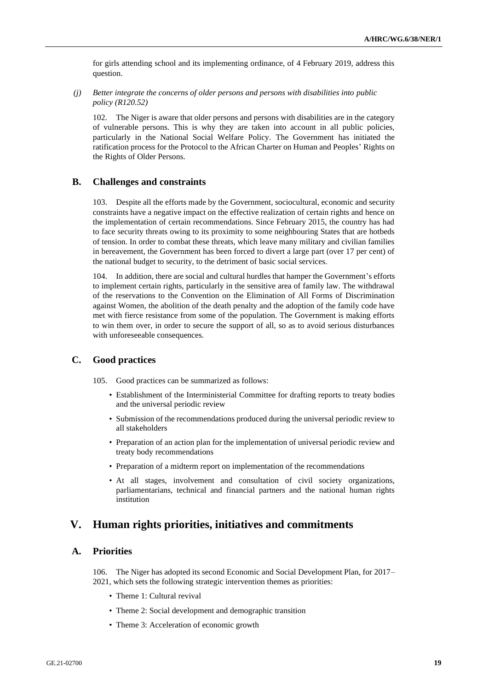for girls attending school and its implementing ordinance, of 4 February 2019, address this question.

*(j) Better integrate the concerns of older persons and persons with disabilities into public policy (R120.52)*

102. The Niger is aware that older persons and persons with disabilities are in the category of vulnerable persons. This is why they are taken into account in all public policies, particularly in the National Social Welfare Policy. The Government has initiated the ratification process for the Protocol to the African Charter on Human and Peoples' Rights on the Rights of Older Persons.

### **B. Challenges and constraints**

103. Despite all the efforts made by the Government, sociocultural, economic and security constraints have a negative impact on the effective realization of certain rights and hence on the implementation of certain recommendations. Since February 2015, the country has had to face security threats owing to its proximity to some neighbouring States that are hotbeds of tension. In order to combat these threats, which leave many military and civilian families in bereavement, the Government has been forced to divert a large part (over 17 per cent) of the national budget to security, to the detriment of basic social services.

104. In addition, there are social and cultural hurdles that hamper the Government's efforts to implement certain rights, particularly in the sensitive area of family law. The withdrawal of the reservations to the Convention on the Elimination of All Forms of Discrimination against Women, the abolition of the death penalty and the adoption of the family code have met with fierce resistance from some of the population. The Government is making efforts to win them over, in order to secure the support of all, so as to avoid serious disturbances with unforeseeable consequences.

#### **C. Good practices**

105. Good practices can be summarized as follows:

- Establishment of the Interministerial Committee for drafting reports to treaty bodies and the universal periodic review
- Submission of the recommendations produced during the universal periodic review to all stakeholders
- Preparation of an action plan for the implementation of universal periodic review and treaty body recommendations
- Preparation of a midterm report on implementation of the recommendations
- At all stages, involvement and consultation of civil society organizations, parliamentarians, technical and financial partners and the national human rights institution

## **V. Human rights priorities, initiatives and commitments**

## **A. Priorities**

106. The Niger has adopted its second Economic and Social Development Plan, for 2017– 2021, which sets the following strategic intervention themes as priorities:

- Theme 1: Cultural revival
- Theme 2: Social development and demographic transition
- Theme 3: Acceleration of economic growth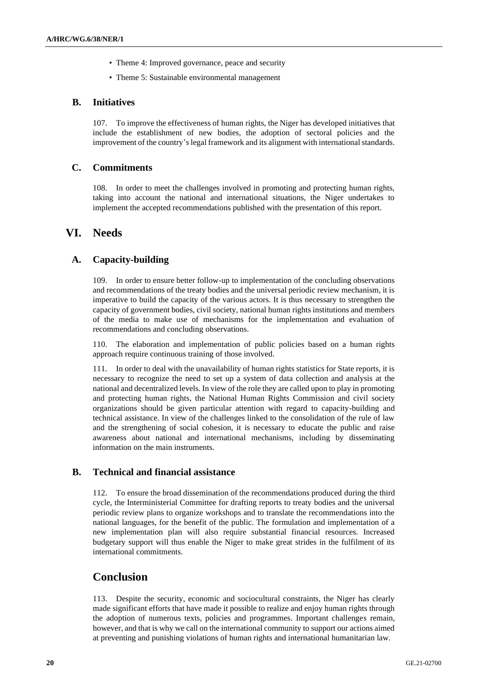- Theme 4: Improved governance, peace and security
- Theme 5: Sustainable environmental management

## **B. Initiatives**

107. To improve the effectiveness of human rights, the Niger has developed initiatives that include the establishment of new bodies, the adoption of sectoral policies and the improvement of the country's legal framework and its alignment with international standards.

## **C. Commitments**

108. In order to meet the challenges involved in promoting and protecting human rights, taking into account the national and international situations, the Niger undertakes to implement the accepted recommendations published with the presentation of this report.

# **VI. Needs**

## **A. Capacity-building**

109. In order to ensure better follow-up to implementation of the concluding observations and recommendations of the treaty bodies and the universal periodic review mechanism, it is imperative to build the capacity of the various actors. It is thus necessary to strengthen the capacity of government bodies, civil society, national human rights institutions and members of the media to make use of mechanisms for the implementation and evaluation of recommendations and concluding observations.

110. The elaboration and implementation of public policies based on a human rights approach require continuous training of those involved.

111. In order to deal with the unavailability of human rights statistics for State reports, it is necessary to recognize the need to set up a system of data collection and analysis at the national and decentralized levels. In view of the role they are called upon to play in promoting and protecting human rights, the National Human Rights Commission and civil society organizations should be given particular attention with regard to capacity-building and technical assistance. In view of the challenges linked to the consolidation of the rule of law and the strengthening of social cohesion, it is necessary to educate the public and raise awareness about national and international mechanisms, including by disseminating information on the main instruments.

## **B. Technical and financial assistance**

112. To ensure the broad dissemination of the recommendations produced during the third cycle, the Interministerial Committee for drafting reports to treaty bodies and the universal periodic review plans to organize workshops and to translate the recommendations into the national languages, for the benefit of the public. The formulation and implementation of a new implementation plan will also require substantial financial resources. Increased budgetary support will thus enable the Niger to make great strides in the fulfilment of its international commitments.

# **Conclusion**

113. Despite the security, economic and sociocultural constraints, the Niger has clearly made significant efforts that have made it possible to realize and enjoy human rights through the adoption of numerous texts, policies and programmes. Important challenges remain, however, and that is why we call on the international community to support our actions aimed at preventing and punishing violations of human rights and international humanitarian law.